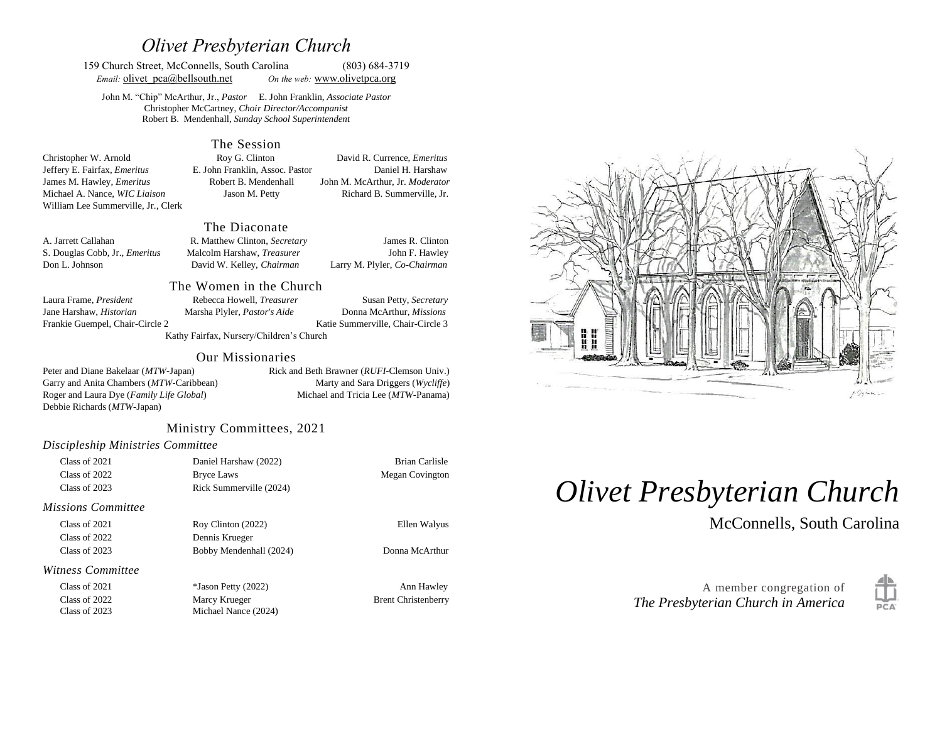# *Olivet Presbyterian Church*

159 Church Street, McConnells, South Carolina (803) 684-3719 *Email:* **olivet**  $pca@bellsouth.net$  *On the web:* [www.olivetp](http://www.olivet/)ca.org

John M. "Chip" McArthur, Jr., *Pastor* E. John Franklin, *Associate Pastor* Christopher McCartney, *Choir Director/Accompanist* Robert B. Mendenhall, *Sunday School Superintendent*

#### The Session

Christopher W. Arnold Roy G. Clinton David R. Currence, *Emeritus* Jeffery E. Fairfax, *Emeritus* E. John Franklin, Assoc. Pastor Daniel H. Harshaw James M. Hawley, *Emeritus* Robert B. Mendenhall John M. McArthur, Jr. *Moderator* Michael A. Nance, *WIC Liaison* Jason M. Petty Richard B. Summerville, Jr. William Lee Summerville, Jr., Clerk

#### The Diaconate

| A. Jarrett Callahan                   | R. Matthew Clinton, Secretary     | James R. Clinton             |
|---------------------------------------|-----------------------------------|------------------------------|
| S. Douglas Cobb, Jr., <i>Emeritus</i> | Malcolm Harshaw, <i>Treasurer</i> | John F. Hawley               |
| Don L. Johnson                        | David W. Kelley, Chairman         | Larry M. Plyler, Co-Chairman |

Jane Harshaw, *Historian* Marsha Plyler, *Pastor's Aide* Donna McArthur, *Missions* Frankie Guempel, Chair-Circle 2 Katie Summerville, Chair-Circle 3

The Women in the Church Laura Frame, *President* Rebecca Howell, *Treasurer* Susan Petty, *Secretary* 

Kathy Fairfax, Nursery/Children's Church

#### Our Missionaries

Peter and Diane Bakelaar (*MTW*-Japan) Rick and Beth Brawner (*RUFI*-Clemson Univ.) Garry and Anita Chambers (*MTW*-Caribbean) Marty and Sara Driggers (*Wycliffe*) Roger and Laura Dye (*Family Life Global*) Michael and Tricia Lee (*MTW*-Panama) Debbie Richards (*MTW*-Japan)

#### Ministry Committees, 2021

#### *Discipleship Ministries Committee*

| Class of 2021 | Daniel Harshaw (2022)   | Brian Carlisle  |
|---------------|-------------------------|-----------------|
| Class of 2022 | Bryce Laws              | Megan Covington |
| Class of 2023 | Rick Summerville (2024) |                 |

#### *Missions Committee*

Class of 2021 Roy Clinton (2022) Ellen Walyus Class of 2022 Dennis Krueger Class of 2023 Bobby Mendenhall (2024) Donna McArthur

*Witness Committee*

Class of 2021 \*Jason Petty (2022) Ann Hawley

Class of 2022 Marcy Krueger Brent Christenberry Class of 2023 Michael Nance (2024)



# *Olivet Presbyterian Church*

McConnells, South Carolina

A member congregation of *The Presbyterian Church in America*

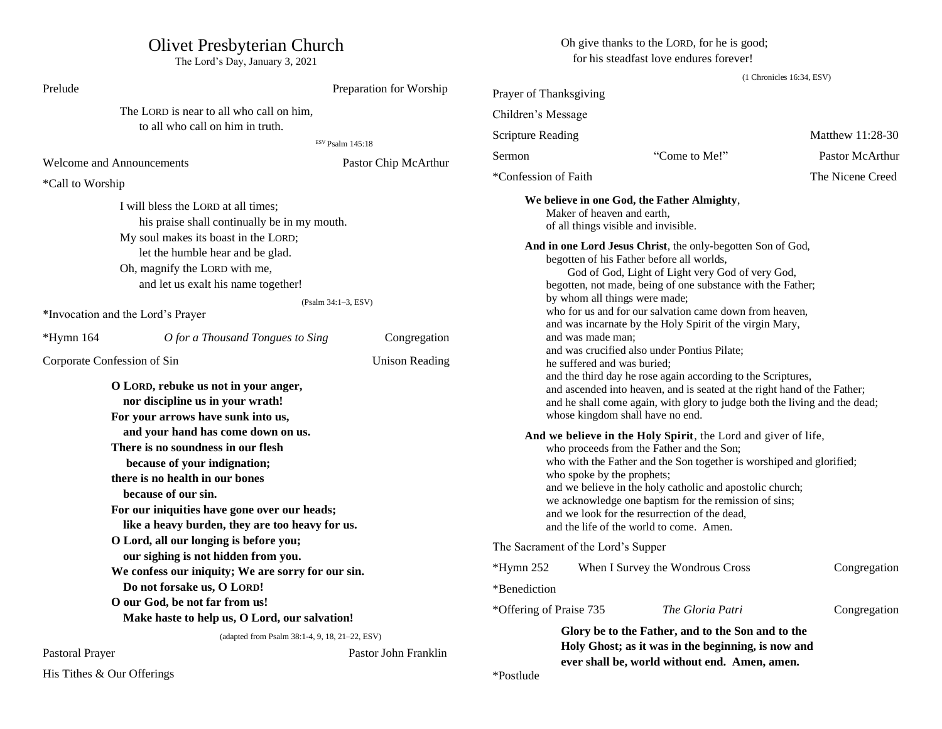# Olivet Presbyterian Church

The Lord's Day, January 3, 2021

Oh give thanks to the LORD, for he is good; for his steadfast love endures forever!

(1 Chronicles 16:34, ESV)

| Prelude                                                                                                                                                                                                                                                                                                                                                                                                                                                                                   |                                                | Preparation for Worship                                                                                                                                                                                                                                                                                                                                                                                                                                                                                                                                                                                                                                                                                                                                                           | Prayer of Thanksgiving                                                           |                                                          |                                    |                                     |  |
|-------------------------------------------------------------------------------------------------------------------------------------------------------------------------------------------------------------------------------------------------------------------------------------------------------------------------------------------------------------------------------------------------------------------------------------------------------------------------------------------|------------------------------------------------|-----------------------------------------------------------------------------------------------------------------------------------------------------------------------------------------------------------------------------------------------------------------------------------------------------------------------------------------------------------------------------------------------------------------------------------------------------------------------------------------------------------------------------------------------------------------------------------------------------------------------------------------------------------------------------------------------------------------------------------------------------------------------------------|----------------------------------------------------------------------------------|----------------------------------------------------------|------------------------------------|-------------------------------------|--|
| The LORD is near to all who call on him,<br>to all who call on him in truth.                                                                                                                                                                                                                                                                                                                                                                                                              |                                                |                                                                                                                                                                                                                                                                                                                                                                                                                                                                                                                                                                                                                                                                                                                                                                                   | Children's Message                                                               |                                                          |                                    |                                     |  |
|                                                                                                                                                                                                                                                                                                                                                                                                                                                                                           |                                                |                                                                                                                                                                                                                                                                                                                                                                                                                                                                                                                                                                                                                                                                                                                                                                                   | <b>Scripture Reading</b>                                                         |                                                          | Matthew 11:28-30                   |                                     |  |
|                                                                                                                                                                                                                                                                                                                                                                                                                                                                                           |                                                | ESV Psalm 145:18                                                                                                                                                                                                                                                                                                                                                                                                                                                                                                                                                                                                                                                                                                                                                                  | Sermon                                                                           | "Come to Me!"                                            | Pastor McArthur                    |                                     |  |
|                                                                                                                                                                                                                                                                                                                                                                                                                                                                                           | <b>Welcome and Announcements</b>               | Pastor Chip McArthur                                                                                                                                                                                                                                                                                                                                                                                                                                                                                                                                                                                                                                                                                                                                                              | *Confession of Faith                                                             |                                                          | The Nicene Creed                   |                                     |  |
| *Call to Worship                                                                                                                                                                                                                                                                                                                                                                                                                                                                          |                                                |                                                                                                                                                                                                                                                                                                                                                                                                                                                                                                                                                                                                                                                                                                                                                                                   |                                                                                  |                                                          |                                    |                                     |  |
| I will bless the LORD at all times;<br>his praise shall continually be in my mouth.<br>My soul makes its boast in the LORD;<br>let the humble hear and be glad.<br>Oh, magnify the LORD with me,<br>and let us exalt his name together!<br>(Psalm 34:1-3, ESV)                                                                                                                                                                                                                            |                                                | We believe in one God, the Father Almighty,<br>Maker of heaven and earth,<br>of all things visible and invisible.<br>And in one Lord Jesus Christ, the only-begotten Son of God,<br>begotten of his Father before all worlds,<br>God of God, Light of Light very God of very God,<br>begotten, not made, being of one substance with the Father;<br>by whom all things were made;<br>who for us and for our salvation came down from heaven,                                                                                                                                                                                                                                                                                                                                      |                                                                                  |                                                          |                                    |                                     |  |
|                                                                                                                                                                                                                                                                                                                                                                                                                                                                                           | *Invocation and the Lord's Prayer              |                                                                                                                                                                                                                                                                                                                                                                                                                                                                                                                                                                                                                                                                                                                                                                                   |                                                                                  | and was incarnate by the Holy Spirit of the virgin Mary, |                                    |                                     |  |
| $*Hymn 164$                                                                                                                                                                                                                                                                                                                                                                                                                                                                               | O for a Thousand Tongues to Sing               | Congregation                                                                                                                                                                                                                                                                                                                                                                                                                                                                                                                                                                                                                                                                                                                                                                      | and was made man;                                                                |                                                          |                                    |                                     |  |
| Corporate Confession of Sin<br><b>Unison Reading</b><br>O LORD, rebuke us not in your anger,<br>nor discipline us in your wrath!<br>For your arrows have sunk into us,<br>and your hand has come down on us.<br>There is no soundness in our flesh<br>because of your indignation;<br>there is no health in our bones<br>because of our sin.<br>For our iniquities have gone over our heads;<br>like a heavy burden, they are too heavy for us.<br>O Lord, all our longing is before you; |                                                | and was crucified also under Pontius Pilate;<br>he suffered and was buried;<br>and the third day he rose again according to the Scriptures,<br>and ascended into heaven, and is seated at the right hand of the Father;<br>and he shall come again, with glory to judge both the living and the dead;<br>whose kingdom shall have no end.<br>And we believe in the Holy Spirit, the Lord and giver of life,<br>who proceeds from the Father and the Son;<br>who with the Father and the Son together is worshiped and glorified;<br>who spoke by the prophets;<br>and we believe in the holy catholic and apostolic church;<br>we acknowledge one baptism for the remission of sins;<br>and we look for the resurrection of the dead,<br>and the life of the world to come. Amen. |                                                                                  |                                                          |                                    |                                     |  |
|                                                                                                                                                                                                                                                                                                                                                                                                                                                                                           |                                                |                                                                                                                                                                                                                                                                                                                                                                                                                                                                                                                                                                                                                                                                                                                                                                                   |                                                                                  |                                                          | The Sacrament of the Lord's Supper |                                     |  |
|                                                                                                                                                                                                                                                                                                                                                                                                                                                                                           |                                                |                                                                                                                                                                                                                                                                                                                                                                                                                                                                                                                                                                                                                                                                                                                                                                                   |                                                                                  |                                                          |                                    | our sighing is not hidden from you. |  |
|                                                                                                                                                                                                                                                                                                                                                                                                                                                                                           |                                                |                                                                                                                                                                                                                                                                                                                                                                                                                                                                                                                                                                                                                                                                                                                                                                                   | We confess our iniquity; We are sorry for our sin.<br>Do not forsake us, O LORD! |                                                          | *Benediction                       |                                     |  |
|                                                                                                                                                                                                                                                                                                                                                                                                                                                                                           | O our God, be not far from us!                 |                                                                                                                                                                                                                                                                                                                                                                                                                                                                                                                                                                                                                                                                                                                                                                                   |                                                                                  |                                                          |                                    |                                     |  |
|                                                                                                                                                                                                                                                                                                                                                                                                                                                                                           | Make haste to help us, O Lord, our salvation!  |                                                                                                                                                                                                                                                                                                                                                                                                                                                                                                                                                                                                                                                                                                                                                                                   | *Offering of Praise 735                                                          | The Gloria Patri                                         | Congregation                       |                                     |  |
|                                                                                                                                                                                                                                                                                                                                                                                                                                                                                           | (adapted from Psalm 38:1-4, 9, 18, 21-22, ESV) |                                                                                                                                                                                                                                                                                                                                                                                                                                                                                                                                                                                                                                                                                                                                                                                   |                                                                                  | Glory be to the Father, and to the Son and to the        |                                    |                                     |  |
| Pastoral Prayer<br>Pastor John Franklin                                                                                                                                                                                                                                                                                                                                                                                                                                                   |                                                |                                                                                                                                                                                                                                                                                                                                                                                                                                                                                                                                                                                                                                                                                                                                                                                   | Holy Ghost; as it was in the beginning, is now and                               |                                                          |                                    |                                     |  |
| His Tithes & Our Offerings                                                                                                                                                                                                                                                                                                                                                                                                                                                                |                                                | ever shall be, world without end. Amen, amen.<br>*Postlude                                                                                                                                                                                                                                                                                                                                                                                                                                                                                                                                                                                                                                                                                                                        |                                                                                  |                                                          |                                    |                                     |  |